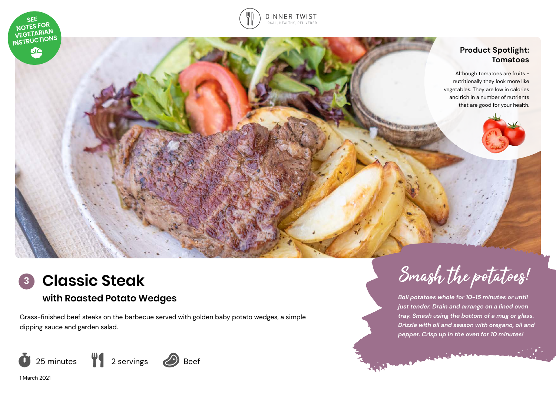





**Classic Steak**

# **with Roasted Potato Wedges**

Grass-finished beef steaks on the barbecue served with golden baby potato wedges, a simple dipping sauce and garden salad.



1 March 2021



*Boil potatoes whole for 10-15 minutes or until just tender. Drain and arrange on a lined oven tray. Smash using the bottom of a mug or glass. Drizzle with oil and season with oregano, oil and pepper. Crisp up in the oven for 10 minutes!*